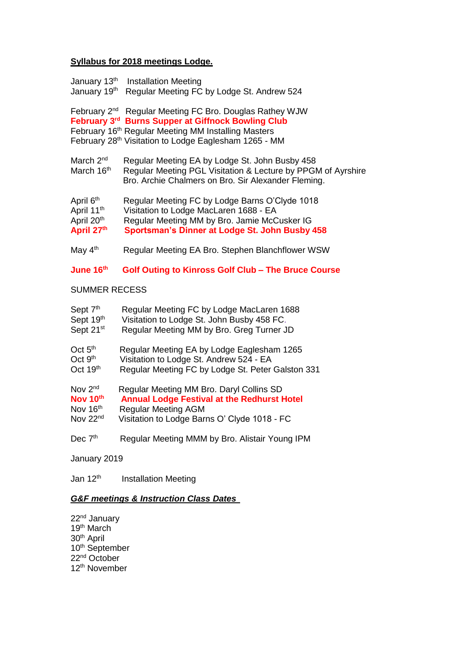## **Syllabus for 2018 meetings Lodge.**

| January 13th<br>January 19th                                                | <b>Installation Meeting</b><br>Regular Meeting FC by Lodge St. Andrew 524                                                                                                                                              |  |
|-----------------------------------------------------------------------------|------------------------------------------------------------------------------------------------------------------------------------------------------------------------------------------------------------------------|--|
| February 2 <sup>nd</sup><br>February 3rd                                    | Regular Meeting FC Bro. Douglas Rathey WJW<br><b>Burns Supper at Giffnock Bowling Club</b><br>February 16 <sup>th</sup> Regular Meeting MM Installing Masters<br>February 28th Visitation to Lodge Eaglesham 1265 - MM |  |
| March 2 <sup>nd</sup><br>March 16th                                         | Regular Meeting EA by Lodge St. John Busby 458<br>Regular Meeting PGL Visitation & Lecture by PPGM of Ayrshire<br>Bro. Archie Chalmers on Bro. Sir Alexander Fleming.                                                  |  |
| April 6 <sup>th</sup><br>April 11 <sup>th</sup><br>April 20th<br>April 27th | Regular Meeting FC by Lodge Barns O'Clyde 1018<br>Visitation to Lodge MacLaren 1688 - EA<br>Regular Meeting MM by Bro. Jamie McCusker IG<br>Sportsman's Dinner at Lodge St. John Busby 458                             |  |
| May 4 <sup>th</sup>                                                         | Regular Meeting EA Bro. Stephen Blanchflower WSW                                                                                                                                                                       |  |
| June 16 <sup>th</sup>                                                       | <b>Golf Outing to Kinross Golf Club - The Bruce Course</b>                                                                                                                                                             |  |
| <b>SUMMER RECESS</b>                                                        |                                                                                                                                                                                                                        |  |
| Sept 7 <sup>th</sup><br>Sept 19th<br>Sept 21 <sup>st</sup>                  | Regular Meeting FC by Lodge MacLaren 1688<br>Visitation to Lodge St. John Busby 458 FC.<br>Regular Meeting MM by Bro. Greg Turner JD                                                                                   |  |
| Oct $5th$<br>Oct 9 <sup>th</sup><br>Oct 19 <sup>th</sup>                    | Regular Meeting EA by Lodge Eaglesham 1265<br>Visitation to Lodge St. Andrew 524 - EA<br>Regular Meeting FC by Lodge St. Peter Galston 331                                                                             |  |
| Nov 2 <sup>nd</sup><br>Nov 10th<br>Nov 16th<br>Nov 22nd                     | Regular Meeting MM Bro. Daryl Collins SD<br><b>Annual Lodge Festival at the Redhurst Hotel</b><br><b>Regular Meeting AGM</b><br>Visitation to Lodge Barns O' Clyde 1018 - FC                                           |  |
| Dec $7th$                                                                   | Regular Meeting MMM by Bro. Alistair Young IPM                                                                                                                                                                         |  |
| January 2019                                                                |                                                                                                                                                                                                                        |  |

Jan 12<sup>th</sup> Installation Meeting

## *G&F meetings & Instruction Class Dates*

22<sup>nd</sup> January 19<sup>th</sup> March 30<sup>th</sup> April 10<sup>th</sup> September 22<sup>nd</sup> October 12<sup>th</sup> November